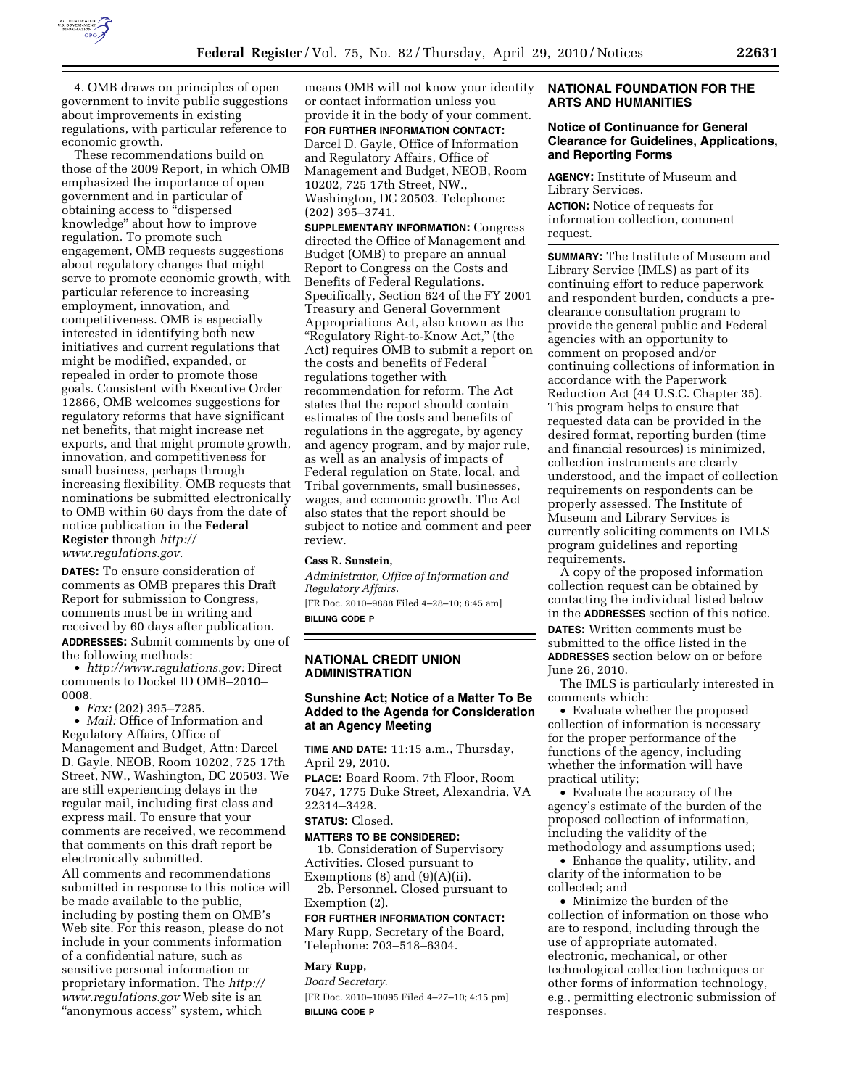

4. OMB draws on principles of open government to invite public suggestions about improvements in existing regulations, with particular reference to economic growth.

These recommendations build on those of the 2009 Report, in which OMB emphasized the importance of open government and in particular of obtaining access to ''dispersed knowledge'' about how to improve regulation. To promote such engagement, OMB requests suggestions about regulatory changes that might serve to promote economic growth, with particular reference to increasing employment, innovation, and competitiveness. OMB is especially interested in identifying both new initiatives and current regulations that might be modified, expanded, or repealed in order to promote those goals. Consistent with Executive Order 12866, OMB welcomes suggestions for regulatory reforms that have significant net benefits, that might increase net exports, and that might promote growth, innovation, and competitiveness for small business, perhaps through increasing flexibility. OMB requests that nominations be submitted electronically to OMB within 60 days from the date of notice publication in the **Federal Register** through *http:// www.regulations.gov.* 

**DATES:** To ensure consideration of comments as OMB prepares this Draft Report for submission to Congress, comments must be in writing and received by 60 days after publication. **ADDRESSES:** Submit comments by one of the following methods:

• *http://www.regulations.gov:* Direct comments to Docket ID OMB–2010– 0008.

• *Fax:* (202) 395–7285.

• *Mail:* Office of Information and Regulatory Affairs, Office of Management and Budget, Attn: Darcel D. Gayle, NEOB, Room 10202, 725 17th Street, NW., Washington, DC 20503. We are still experiencing delays in the regular mail, including first class and express mail. To ensure that your comments are received, we recommend that comments on this draft report be electronically submitted.

All comments and recommendations submitted in response to this notice will be made available to the public, including by posting them on OMB's Web site. For this reason, please do not include in your comments information of a confidential nature, such as sensitive personal information or proprietary information. The *http:// www.regulations.gov* Web site is an "anonymous access" system, which

means OMB will not know your identity or contact information unless you provide it in the body of your comment.

**FOR FURTHER INFORMATION CONTACT:**  Darcel D. Gayle, Office of Information and Regulatory Affairs, Office of Management and Budget, NEOB, Room 10202, 725 17th Street, NW., Washington, DC 20503. Telephone: (202) 395–3741.

**SUPPLEMENTARY INFORMATION:** Congress directed the Office of Management and Budget (OMB) to prepare an annual Report to Congress on the Costs and Benefits of Federal Regulations. Specifically, Section 624 of the FY 2001 Treasury and General Government Appropriations Act, also known as the "Regulatory Right-to-Know Act," (the Act) requires OMB to submit a report on the costs and benefits of Federal regulations together with recommendation for reform. The Act states that the report should contain estimates of the costs and benefits of regulations in the aggregate, by agency and agency program, and by major rule, as well as an analysis of impacts of Federal regulation on State, local, and Tribal governments, small businesses, wages, and economic growth. The Act also states that the report should be subject to notice and comment and peer review.

#### **Cass R. Sunstein,**

*Administrator, Office of Information and Regulatory Affairs.*  [FR Doc. 2010–9888 Filed 4–28–10; 8:45 am] **BILLING CODE P** 

## **NATIONAL CREDIT UNION ADMINISTRATION**

### **Sunshine Act; Notice of a Matter To Be Added to the Agenda for Consideration at an Agency Meeting**

**TIME AND DATE:** 11:15 a.m., Thursday, April 29, 2010.

**PLACE:** Board Room, 7th Floor, Room 7047, 1775 Duke Street, Alexandria, VA 22314–3428.

#### **STATUS:** Closed.

**MATTERS TO BE CONSIDERED:** 

1b. Consideration of Supervisory Activities. Closed pursuant to Exemptions  $(8)$  and  $(9)(A)(ii)$ .

2b. Personnel. Closed pursuant to Exemption (2).

**FOR FURTHER INFORMATION CONTACT:**  Mary Rupp, Secretary of the Board, Telephone: 703–518–6304.

# **Mary Rupp,**

*Board Secretary.* 

[FR Doc. 2010–10095 Filed 4–27–10; 4:15 pm] **BILLING CODE P** 

## **NATIONAL FOUNDATION FOR THE ARTS AND HUMANITIES**

# **Notice of Continuance for General Clearance for Guidelines, Applications, and Reporting Forms**

**AGENCY:** Institute of Museum and Library Services. **ACTION:** Notice of requests for information collection, comment request.

**SUMMARY:** The Institute of Museum and Library Service (IMLS) as part of its continuing effort to reduce paperwork and respondent burden, conducts a preclearance consultation program to provide the general public and Federal agencies with an opportunity to comment on proposed and/or continuing collections of information in accordance with the Paperwork Reduction Act (44 U.S.C. Chapter 35). This program helps to ensure that requested data can be provided in the desired format, reporting burden (time and financial resources) is minimized, collection instruments are clearly understood, and the impact of collection requirements on respondents can be properly assessed. The Institute of Museum and Library Services is currently soliciting comments on IMLS program guidelines and reporting requirements.

A copy of the proposed information collection request can be obtained by contacting the individual listed below in the **ADDRESSES** section of this notice.

**DATES:** Written comments must be submitted to the office listed in the **ADDRESSES** section below on or before June 26, 2010.

The IMLS is particularly interested in comments which:

• Evaluate whether the proposed collection of information is necessary for the proper performance of the functions of the agency, including whether the information will have practical utility;

• Evaluate the accuracy of the agency's estimate of the burden of the proposed collection of information, including the validity of the methodology and assumptions used;

• Enhance the quality, utility, and clarity of the information to be collected; and

• Minimize the burden of the collection of information on those who are to respond, including through the use of appropriate automated, electronic, mechanical, or other technological collection techniques or other forms of information technology, e.g., permitting electronic submission of responses.